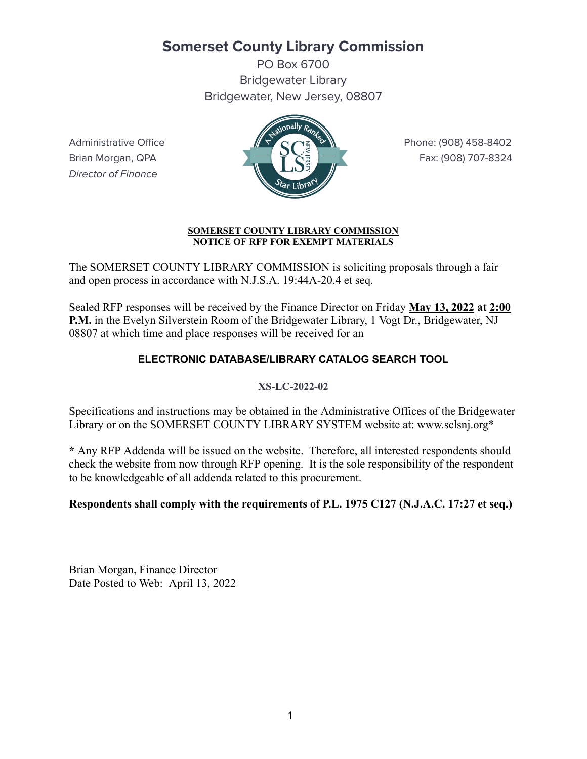# **Somerset County Library Commission**

PO Box 6700 Bridgewater Library Bridgewater, New Jersey, 08807

Director of Finance



#### **SOMERSET COUNTY LIBRARY COMMISSION NOTICE OF RFP FOR EXEMPT MATERIALS**

The SOMERSET COUNTY LIBRARY COMMISSION is soliciting proposals through a fair and open process in accordance with N.J.S.A. 19:44A-20.4 et seq.

Sealed RFP responses will be received by the Finance Director on Friday **May 13, 2022 at 2:00 P.M.** in the Evelyn Silverstein Room of the Bridgewater Library, 1 Vogt Dr., Bridgewater, NJ 08807 at which time and place responses will be received for an

## **ELECTRONIC DATABASE/LIBRARY CATALOG SEARCH TOOL**

## **XS-LC-2022-02**

Specifications and instructions may be obtained in the Administrative Offices of the Bridgewater Library or on the SOMERSET COUNTY LIBRARY SYSTEM website at: www.sclsnj.org\*

**\*** Any RFP Addenda will be issued on the website. Therefore, all interested respondents should check the website from now through RFP opening. It is the sole responsibility of the respondent to be knowledgeable of all addenda related to this procurement.

## **Respondents shall comply with the requirements of P.L. 1975 C127 (N.J.A.C. 17:27 et seq.)**

Brian Morgan, Finance Director Date Posted to Web: April 13, 2022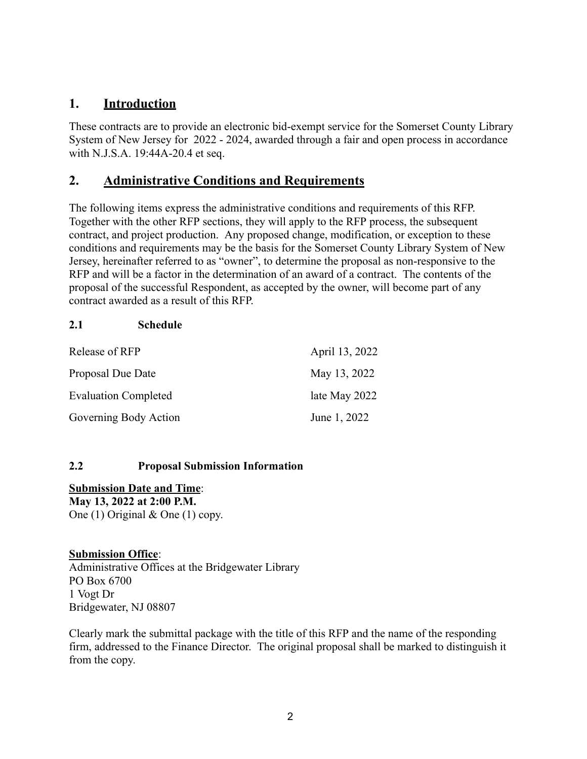## **1. Introduction**

These contracts are to provide an electronic bid-exempt service for the Somerset County Library System of New Jersey for 2022 - 2024, awarded through a fair and open process in accordance with N.J.S.A. 19:44A-20.4 et seq.

## **2. Administrative Conditions and Requirements**

The following items express the administrative conditions and requirements of this RFP. Together with the other RFP sections, they will apply to the RFP process, the subsequent contract, and project production. Any proposed change, modification, or exception to these conditions and requirements may be the basis for the Somerset County Library System of New Jersey, hereinafter referred to as "owner", to determine the proposal as non-responsive to the RFP and will be a factor in the determination of an award of a contract. The contents of the proposal of the successful Respondent, as accepted by the owner, will become part of any contract awarded as a result of this RFP.

#### **2.1 Schedule**

| Release of RFP              | April 13, 2022 |
|-----------------------------|----------------|
| Proposal Due Date           | May 13, 2022   |
| <b>Evaluation Completed</b> | late May 2022  |
| Governing Body Action       | June 1, 2022   |

#### **2.2 Proposal Submission Information**

**Submission Date and Time**: **May 13, 2022 at 2:00 P.M.** One (1) Original & One (1) copy.

#### **Submission Office**:

Administrative Offices at the Bridgewater Library PO Box 6700 1 Vogt Dr Bridgewater, NJ 08807

Clearly mark the submittal package with the title of this RFP and the name of the responding firm, addressed to the Finance Director. The original proposal shall be marked to distinguish it from the copy.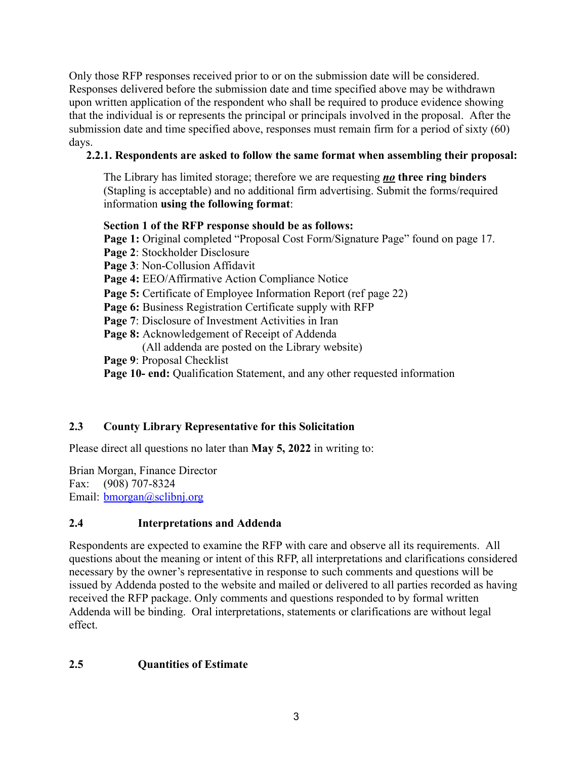Only those RFP responses received prior to or on the submission date will be considered. Responses delivered before the submission date and time specified above may be withdrawn upon written application of the respondent who shall be required to produce evidence showing that the individual is or represents the principal or principals involved in the proposal. After the submission date and time specified above, responses must remain firm for a period of sixty (60) days.

## **2.2.1. Respondents are asked to follow the same format when assembling their proposal:**

The Library has limited storage; therefore we are requesting *no* **three ring binders** (Stapling is acceptable) and no additional firm advertising. Submit the forms/required information **using the following format**:

## **Section 1 of the RFP response should be as follows:**

**Page 1:** Original completed "Proposal Cost Form/Signature Page" found on page 17. **Page 2**: Stockholder Disclosure **Page 3**: Non-Collusion Affidavit **Page 4:** EEO/Affirmative Action Compliance Notice **Page 5:** Certificate of Employee Information Report (ref page 22) **Page 6:** Business Registration Certificate supply with RFP **Page 7**: Disclosure of Investment Activities in Iran **Page 8:** Acknowledgement of Receipt of Addenda (All addenda are posted on the Library website) **Page 9**: Proposal Checklist **Page 10- end:** Qualification Statement, and any other requested information

## **2.3 County Library Representative for this Solicitation**

Please direct all questions no later than **May 5, 2022** in writing to:

Brian Morgan, Finance Director Fax: (908) 707-8324 Email: [bmorgan@sclibnj.org](mailto:bmorgan@sclibnj.org)

## **2.4 Interpretations and Addenda**

Respondents are expected to examine the RFP with care and observe all its requirements. All questions about the meaning or intent of this RFP, all interpretations and clarifications considered necessary by the owner's representative in response to such comments and questions will be issued by Addenda posted to the website and mailed or delivered to all parties recorded as having received the RFP package. Only comments and questions responded to by formal written Addenda will be binding. Oral interpretations, statements or clarifications are without legal effect.

## **2.5 Quantities of Estimate**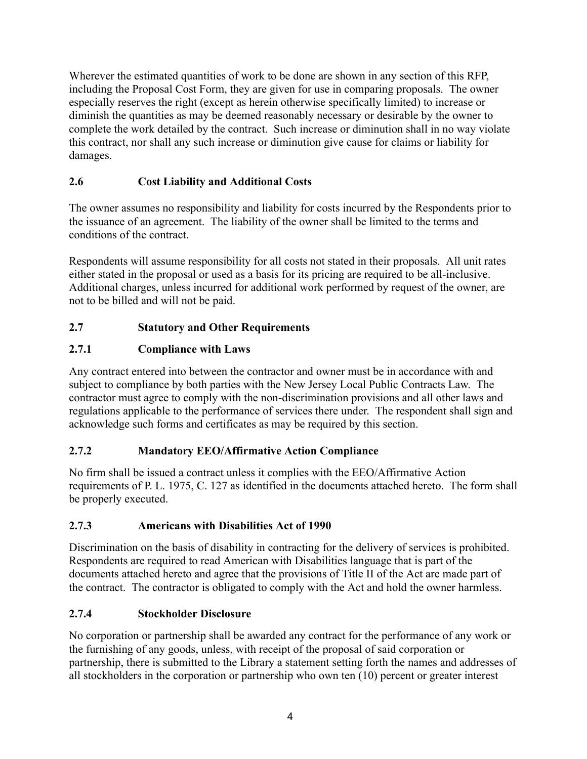Wherever the estimated quantities of work to be done are shown in any section of this RFP, including the Proposal Cost Form, they are given for use in comparing proposals. The owner especially reserves the right (except as herein otherwise specifically limited) to increase or diminish the quantities as may be deemed reasonably necessary or desirable by the owner to complete the work detailed by the contract. Such increase or diminution shall in no way violate this contract, nor shall any such increase or diminution give cause for claims or liability for damages.

# **2.6 Cost Liability and Additional Costs**

The owner assumes no responsibility and liability for costs incurred by the Respondents prior to the issuance of an agreement. The liability of the owner shall be limited to the terms and conditions of the contract.

Respondents will assume responsibility for all costs not stated in their proposals. All unit rates either stated in the proposal or used as a basis for its pricing are required to be all-inclusive. Additional charges, unless incurred for additional work performed by request of the owner, are not to be billed and will not be paid.

# **2.7 Statutory and Other Requirements**

# **2.7.1 Compliance with Laws**

Any contract entered into between the contractor and owner must be in accordance with and subject to compliance by both parties with the New Jersey Local Public Contracts Law. The contractor must agree to comply with the non-discrimination provisions and all other laws and regulations applicable to the performance of services there under. The respondent shall sign and acknowledge such forms and certificates as may be required by this section.

# **2.7.2 Mandatory EEO/Affirmative Action Compliance**

No firm shall be issued a contract unless it complies with the EEO/Affirmative Action requirements of P. L. 1975, C. 127 as identified in the documents attached hereto. The form shall be properly executed.

# **2.7.3 Americans with Disabilities Act of 1990**

Discrimination on the basis of disability in contracting for the delivery of services is prohibited. Respondents are required to read American with Disabilities language that is part of the documents attached hereto and agree that the provisions of Title II of the Act are made part of the contract. The contractor is obligated to comply with the Act and hold the owner harmless.

# **2.7.4 Stockholder Disclosure**

No corporation or partnership shall be awarded any contract for the performance of any work or the furnishing of any goods, unless, with receipt of the proposal of said corporation or partnership, there is submitted to the Library a statement setting forth the names and addresses of all stockholders in the corporation or partnership who own ten (10) percent or greater interest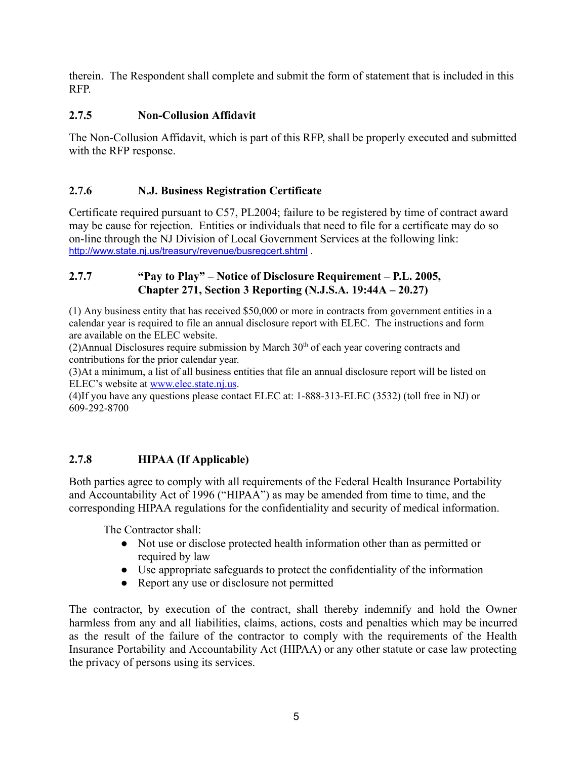therein. The Respondent shall complete and submit the form of statement that is included in this RFP.

## **2.7.5 Non-Collusion Affidavit**

The Non-Collusion Affidavit, which is part of this RFP, shall be properly executed and submitted with the RFP response.

## **2.7.6 N.J. Business Registration Certificate**

Certificate required pursuant to C57, PL2004; failure to be registered by time of contract award may be cause for rejection. Entities or individuals that need to file for a certificate may do so on-line through the NJ Division of Local Government Services at the following link: <http://www.state.nj.us/treasury/revenue/busregcert.shtml> .

#### **2.7.7 "Pay to Play" – Notice of Disclosure Requirement – P.L. 2005, Chapter 271, Section 3 Reporting (N.J.S.A. 19:44A – 20.27)**

(1) Any business entity that has received \$50,000 or more in contracts from government entities in a calendar year is required to file an annual disclosure report with ELEC. The instructions and form are available on the ELEC website.

 $(2)$ Annual Disclosures require submission by March  $30<sup>th</sup>$  of each year covering contracts and contributions for the prior calendar year.

(3)At a minimum, a list of all business entities that file an annual disclosure report will be listed on ELEC's website at [www.elec.state.nj.us.](http://www.elec.state.nj.us/)

(4)If you have any questions please contact ELEC at: 1-888-313-ELEC (3532) (toll free in NJ) or 609-292-8700

## **2.7.8 HIPAA (If Applicable)**

Both parties agree to comply with all requirements of the Federal Health Insurance Portability and Accountability Act of 1996 ("HIPAA") as may be amended from time to time, and the corresponding HIPAA regulations for the confidentiality and security of medical information.

The Contractor shall:

- Not use or disclose protected health information other than as permitted or required by law
- Use appropriate safeguards to protect the confidentiality of the information
- Report any use or disclosure not permitted

The contractor, by execution of the contract, shall thereby indemnify and hold the Owner harmless from any and all liabilities, claims, actions, costs and penalties which may be incurred as the result of the failure of the contractor to comply with the requirements of the Health Insurance Portability and Accountability Act (HIPAA) or any other statute or case law protecting the privacy of persons using its services.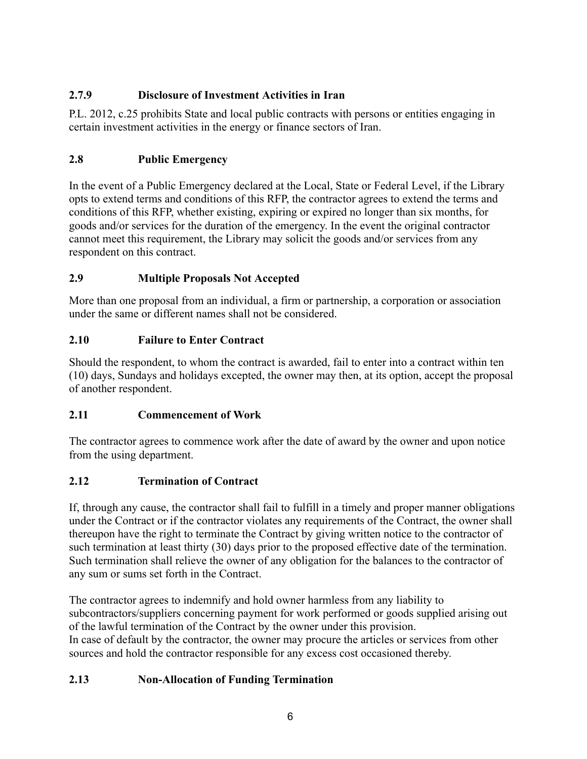# **2.7.9 Disclosure of Investment Activities in Iran**

P.L. 2012, c.25 prohibits State and local public contracts with persons or entities engaging in certain investment activities in the energy or finance sectors of Iran.

# **2.8 Public Emergency**

In the event of a Public Emergency declared at the Local, State or Federal Level, if the Library opts to extend terms and conditions of this RFP, the contractor agrees to extend the terms and conditions of this RFP, whether existing, expiring or expired no longer than six months, for goods and/or services for the duration of the emergency. In the event the original contractor cannot meet this requirement, the Library may solicit the goods and/or services from any respondent on this contract.

# **2.9 Multiple Proposals Not Accepted**

More than one proposal from an individual, a firm or partnership, a corporation or association under the same or different names shall not be considered.

# **2.10 Failure to Enter Contract**

Should the respondent, to whom the contract is awarded, fail to enter into a contract within ten (10) days, Sundays and holidays excepted, the owner may then, at its option, accept the proposal of another respondent.

# **2.11 Commencement of Work**

The contractor agrees to commence work after the date of award by the owner and upon notice from the using department.

# **2.12 Termination of Contract**

If, through any cause, the contractor shall fail to fulfill in a timely and proper manner obligations under the Contract or if the contractor violates any requirements of the Contract, the owner shall thereupon have the right to terminate the Contract by giving written notice to the contractor of such termination at least thirty (30) days prior to the proposed effective date of the termination. Such termination shall relieve the owner of any obligation for the balances to the contractor of any sum or sums set forth in the Contract.

The contractor agrees to indemnify and hold owner harmless from any liability to subcontractors/suppliers concerning payment for work performed or goods supplied arising out of the lawful termination of the Contract by the owner under this provision. In case of default by the contractor, the owner may procure the articles or services from other sources and hold the contractor responsible for any excess cost occasioned thereby.

# **2.13 Non-Allocation of Funding Termination**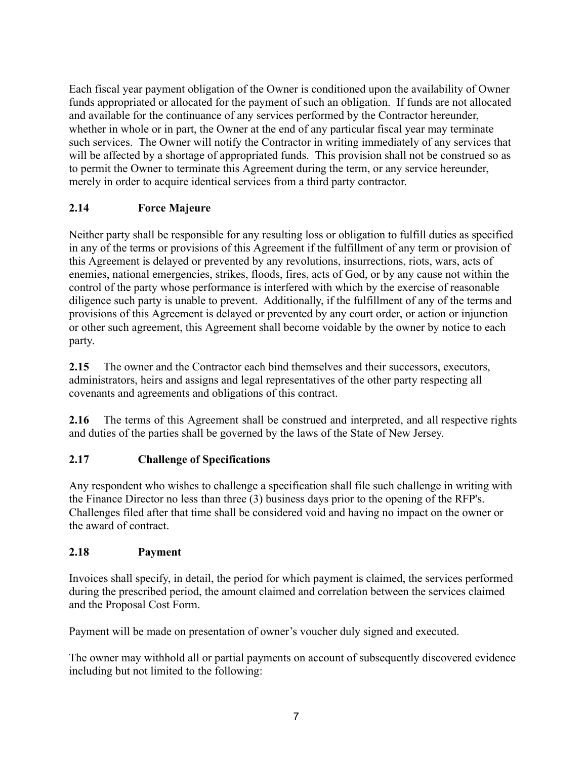Each fiscal year payment obligation of the Owner is conditioned upon the availability of Owner funds appropriated or allocated for the payment of such an obligation. If funds are not allocated and available for the continuance of any services performed by the Contractor hereunder, whether in whole or in part, the Owner at the end of any particular fiscal year may terminate such services. The Owner will notify the Contractor in writing immediately of any services that will be affected by a shortage of appropriated funds. This provision shall not be construed so as to permit the Owner to terminate this Agreement during the term, or any service hereunder, merely in order to acquire identical services from a third party contractor.

## **2.14 Force Majeure**

Neither party shall be responsible for any resulting loss or obligation to fulfill duties as specified in any of the terms or provisions of this Agreement if the fulfillment of any term or provision of this Agreement is delayed or prevented by any revolutions, insurrections, riots, wars, acts of enemies, national emergencies, strikes, floods, fires, acts of God, or by any cause not within the control of the party whose performance is interfered with which by the exercise of reasonable diligence such party is unable to prevent. Additionally, if the fulfillment of any of the terms and provisions of this Agreement is delayed or prevented by any court order, or action or injunction or other such agreement, this Agreement shall become voidable by the owner by notice to each party.

**2.15** The owner and the Contractor each bind themselves and their successors, executors, administrators, heirs and assigns and legal representatives of the other party respecting all covenants and agreements and obligations of this contract.

**2.16** The terms of this Agreement shall be construed and interpreted, and all respective rights and duties of the parties shall be governed by the laws of the State of New Jersey.

## **2.17 Challenge of Specifications**

Any respondent who wishes to challenge a specification shall file such challenge in writing with the Finance Director no less than three (3) business days prior to the opening of the RFP's. Challenges filed after that time shall be considered void and having no impact on the owner or the award of contract.

## **2.18 Payment**

Invoices shall specify, in detail, the period for which payment is claimed, the services performed during the prescribed period, the amount claimed and correlation between the services claimed and the Proposal Cost Form.

Payment will be made on presentation of owner's voucher duly signed and executed.

The owner may withhold all or partial payments on account of subsequently discovered evidence including but not limited to the following: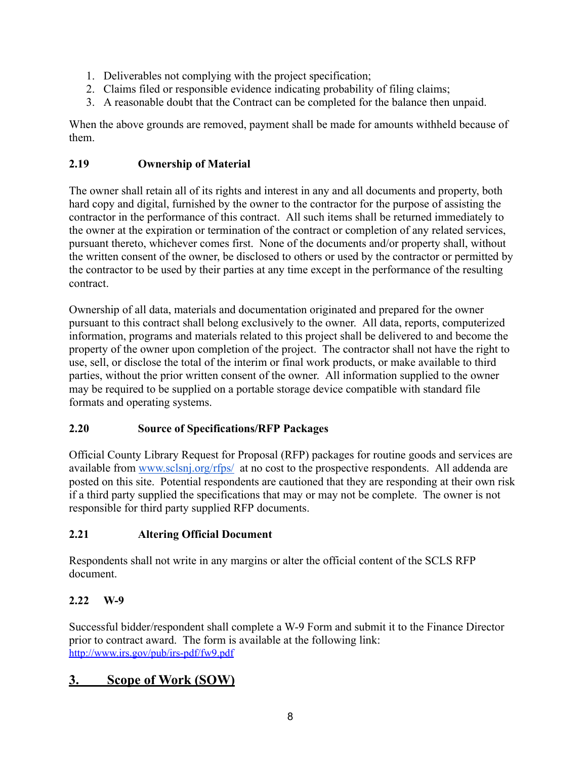- 1. Deliverables not complying with the project specification;
- 2. Claims filed or responsible evidence indicating probability of filing claims;
- 3. A reasonable doubt that the Contract can be completed for the balance then unpaid.

When the above grounds are removed, payment shall be made for amounts withheld because of them.

## **2.19 Ownership of Material**

The owner shall retain all of its rights and interest in any and all documents and property, both hard copy and digital, furnished by the owner to the contractor for the purpose of assisting the contractor in the performance of this contract. All such items shall be returned immediately to the owner at the expiration or termination of the contract or completion of any related services, pursuant thereto, whichever comes first. None of the documents and/or property shall, without the written consent of the owner, be disclosed to others or used by the contractor or permitted by the contractor to be used by their parties at any time except in the performance of the resulting contract.

Ownership of all data, materials and documentation originated and prepared for the owner pursuant to this contract shall belong exclusively to the owner. All data, reports, computerized information, programs and materials related to this project shall be delivered to and become the property of the owner upon completion of the project. The contractor shall not have the right to use, sell, or disclose the total of the interim or final work products, or make available to third parties, without the prior written consent of the owner. All information supplied to the owner may be required to be supplied on a portable storage device compatible with standard file formats and operating systems.

# **2.20 Source of Specifications/RFP Packages**

Official County Library Request for Proposal (RFP) packages for routine goods and services are available from [www.sclsnj.org/rfps/](http://www.sclsnj.org/rfps/) at no cost to the prospective respondents. All addenda are posted on this site. Potential respondents are cautioned that they are responding at their own risk if a third party supplied the specifications that may or may not be complete. The owner is not responsible for third party supplied RFP documents.

# **2.21 Altering Official Document**

Respondents shall not write in any margins or alter the official content of the SCLS RFP document.

# **2.22 W-9**

Successful bidder/respondent shall complete a W-9 Form and submit it to the Finance Director prior to contract award. The form is available at the following link: <http://www.irs.gov/pub/irs-pdf/fw9.pdf>

# **3. Scope of Work (SOW)**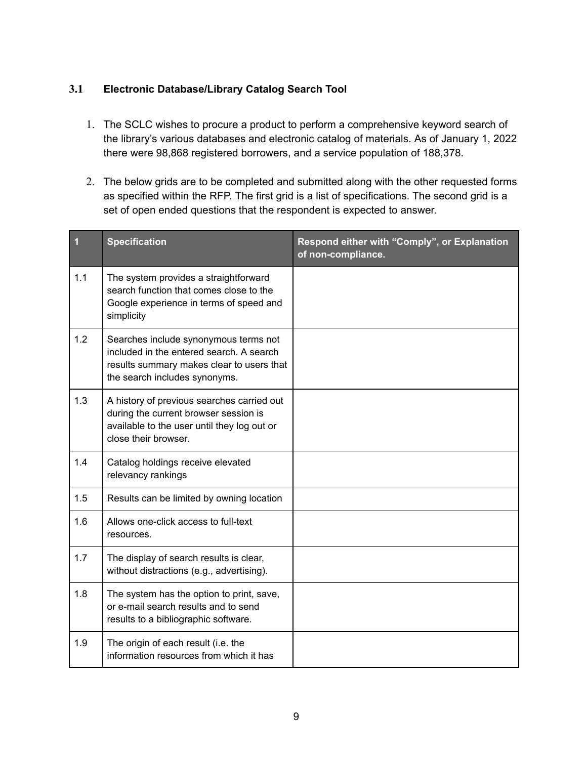## **3.1 Electronic Database/Library Catalog Search Tool**

- 1. The SCLC wishes to procure a product to perform a comprehensive keyword search of the library's various databases and electronic catalog of materials. As of January 1, 2022 there were 98,868 registered borrowers, and a service population of 188,378.
- 2. The below grids are to be completed and submitted along with the other requested forms as specified within the RFP. The first grid is a list of specifications. The second grid is a set of open ended questions that the respondent is expected to answer.

| 1   | <b>Specification</b>                                                                                                                                            | Respond either with "Comply", or Explanation<br>of non-compliance. |
|-----|-----------------------------------------------------------------------------------------------------------------------------------------------------------------|--------------------------------------------------------------------|
| 1.1 | The system provides a straightforward<br>search function that comes close to the<br>Google experience in terms of speed and<br>simplicity                       |                                                                    |
| 1.2 | Searches include synonymous terms not<br>included in the entered search. A search<br>results summary makes clear to users that<br>the search includes synonyms. |                                                                    |
| 1.3 | A history of previous searches carried out<br>during the current browser session is<br>available to the user until they log out or<br>close their browser.      |                                                                    |
| 1.4 | Catalog holdings receive elevated<br>relevancy rankings                                                                                                         |                                                                    |
| 1.5 | Results can be limited by owning location                                                                                                                       |                                                                    |
| 1.6 | Allows one-click access to full-text<br>resources.                                                                                                              |                                                                    |
| 1.7 | The display of search results is clear,<br>without distractions (e.g., advertising).                                                                            |                                                                    |
| 1.8 | The system has the option to print, save,<br>or e-mail search results and to send<br>results to a bibliographic software.                                       |                                                                    |
| 1.9 | The origin of each result (i.e. the<br>information resources from which it has                                                                                  |                                                                    |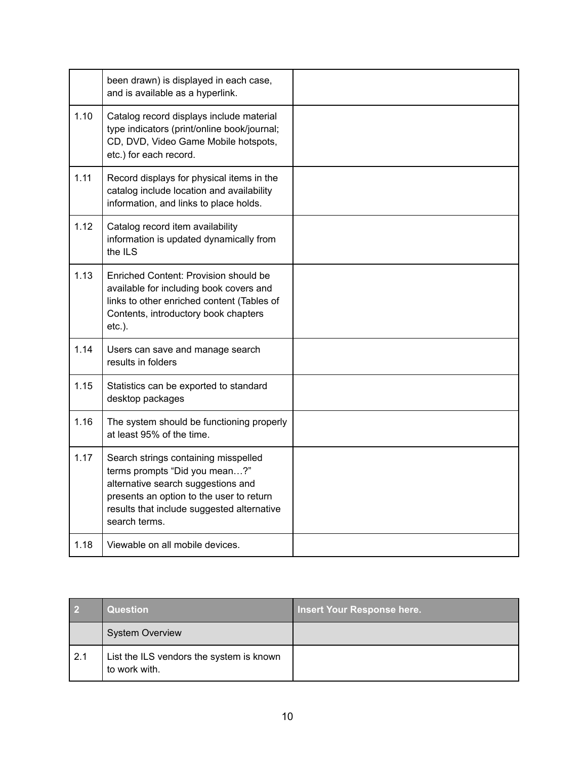|      | been drawn) is displayed in each case,<br>and is available as a hyperlink.                                                                                                                                             |  |
|------|------------------------------------------------------------------------------------------------------------------------------------------------------------------------------------------------------------------------|--|
| 1.10 | Catalog record displays include material<br>type indicators (print/online book/journal;<br>CD, DVD, Video Game Mobile hotspots,<br>etc.) for each record.                                                              |  |
| 1.11 | Record displays for physical items in the<br>catalog include location and availability<br>information, and links to place holds.                                                                                       |  |
| 1.12 | Catalog record item availability<br>information is updated dynamically from<br>the ILS                                                                                                                                 |  |
| 1.13 | Enriched Content: Provision should be<br>available for including book covers and<br>links to other enriched content (Tables of<br>Contents, introductory book chapters<br>$etc.$ ).                                    |  |
| 1.14 | Users can save and manage search<br>results in folders                                                                                                                                                                 |  |
| 1.15 | Statistics can be exported to standard<br>desktop packages                                                                                                                                                             |  |
| 1.16 | The system should be functioning properly<br>at least 95% of the time.                                                                                                                                                 |  |
| 1.17 | Search strings containing misspelled<br>terms prompts "Did you mean?"<br>alternative search suggestions and<br>presents an option to the user to return<br>results that include suggested alternative<br>search terms. |  |
| 1.18 | Viewable on all mobile devices.                                                                                                                                                                                        |  |

| $\overline{\phantom{0}}$ 2 | <b>Question</b>                                           | Insert Your Response here. |
|----------------------------|-----------------------------------------------------------|----------------------------|
|                            | <b>System Overview</b>                                    |                            |
| 2.1                        | List the ILS vendors the system is known<br>to work with. |                            |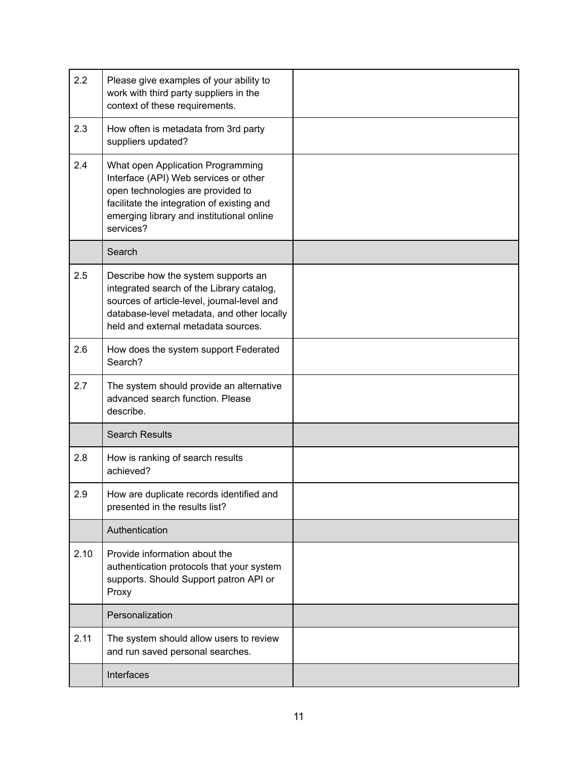| 2.2  | Please give examples of your ability to<br>work with third party suppliers in the<br>context of these requirements.                                                                                                     |  |
|------|-------------------------------------------------------------------------------------------------------------------------------------------------------------------------------------------------------------------------|--|
| 2.3  | How often is metadata from 3rd party<br>suppliers updated?                                                                                                                                                              |  |
| 2.4  | What open Application Programming<br>Interface (API) Web services or other<br>open technologies are provided to<br>facilitate the integration of existing and<br>emerging library and institutional online<br>services? |  |
|      | Search                                                                                                                                                                                                                  |  |
| 2.5  | Describe how the system supports an<br>integrated search of the Library catalog,<br>sources of article-level, journal-level and<br>database-level metadata, and other locally<br>held and external metadata sources.    |  |
| 2.6  | How does the system support Federated<br>Search?                                                                                                                                                                        |  |
| 2.7  | The system should provide an alternative<br>advanced search function. Please<br>describe.                                                                                                                               |  |
|      | <b>Search Results</b>                                                                                                                                                                                                   |  |
| 2.8  | How is ranking of search results<br>achieved?                                                                                                                                                                           |  |
| 2.9  | How are duplicate records identified and<br>presented in the results list?                                                                                                                                              |  |
|      | Authentication                                                                                                                                                                                                          |  |
| 2.10 | Provide information about the<br>authentication protocols that your system<br>supports. Should Support patron API or<br>Proxy                                                                                           |  |
|      | Personalization                                                                                                                                                                                                         |  |
| 2.11 | The system should allow users to review<br>and run saved personal searches.                                                                                                                                             |  |
|      | Interfaces                                                                                                                                                                                                              |  |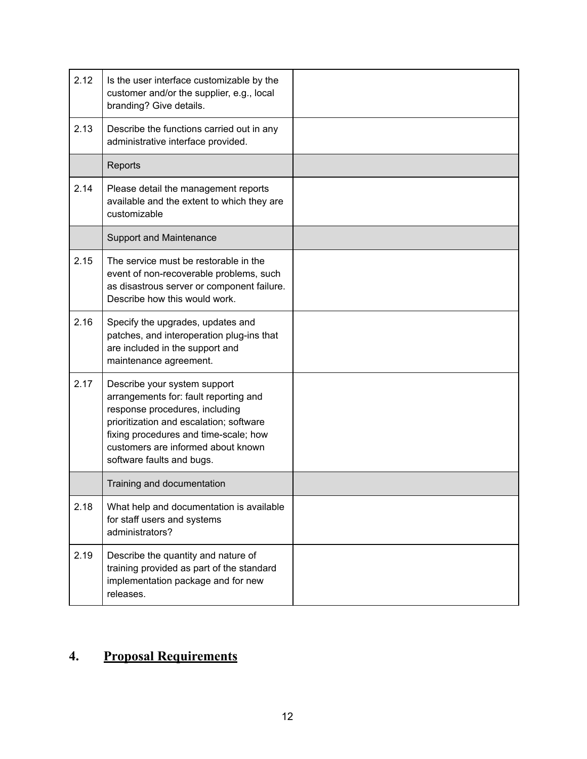| 2.12 | Is the user interface customizable by the<br>customer and/or the supplier, e.g., local                                                                                                                                                                         |  |
|------|----------------------------------------------------------------------------------------------------------------------------------------------------------------------------------------------------------------------------------------------------------------|--|
| 2.13 | branding? Give details.<br>Describe the functions carried out in any<br>administrative interface provided.                                                                                                                                                     |  |
|      | Reports                                                                                                                                                                                                                                                        |  |
| 2.14 | Please detail the management reports<br>available and the extent to which they are<br>customizable                                                                                                                                                             |  |
|      | <b>Support and Maintenance</b>                                                                                                                                                                                                                                 |  |
| 2.15 | The service must be restorable in the<br>event of non-recoverable problems, such<br>as disastrous server or component failure.<br>Describe how this would work.                                                                                                |  |
| 2.16 | Specify the upgrades, updates and<br>patches, and interoperation plug-ins that<br>are included in the support and<br>maintenance agreement.                                                                                                                    |  |
| 2.17 | Describe your system support<br>arrangements for: fault reporting and<br>response procedures, including<br>prioritization and escalation; software<br>fixing procedures and time-scale; how<br>customers are informed about known<br>software faults and bugs. |  |
|      | Training and documentation                                                                                                                                                                                                                                     |  |
| 2.18 | What help and documentation is available<br>for staff users and systems<br>administrators?                                                                                                                                                                     |  |
| 2.19 | Describe the quantity and nature of<br>training provided as part of the standard<br>implementation package and for new<br>releases.                                                                                                                            |  |

# **4. Proposal Requirements**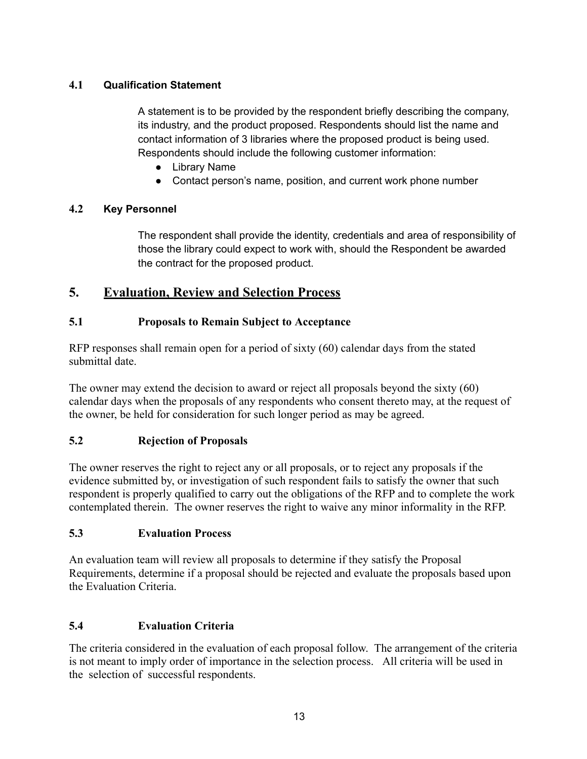## **4.1 Qualification Statement**

A statement is to be provided by the respondent briefly describing the company, its industry, and the product proposed. Respondents should list the name and contact information of 3 libraries where the proposed product is being used. Respondents should include the following customer information:

- Library Name
- Contact person's name, position, and current work phone number

## **4.2 Key Personnel**

The respondent shall provide the identity, credentials and area of responsibility of those the library could expect to work with, should the Respondent be awarded the contract for the proposed product.

# **5. Evaluation, Review and Selection Process**

## **5.1 Proposals to Remain Subject to Acceptance**

RFP responses shall remain open for a period of sixty (60) calendar days from the stated submittal date.

The owner may extend the decision to award or reject all proposals beyond the sixty (60) calendar days when the proposals of any respondents who consent thereto may, at the request of the owner, be held for consideration for such longer period as may be agreed.

## **5.2 Rejection of Proposals**

The owner reserves the right to reject any or all proposals, or to reject any proposals if the evidence submitted by, or investigation of such respondent fails to satisfy the owner that such respondent is properly qualified to carry out the obligations of the RFP and to complete the work contemplated therein. The owner reserves the right to waive any minor informality in the RFP.

## **5.3 Evaluation Process**

An evaluation team will review all proposals to determine if they satisfy the Proposal Requirements, determine if a proposal should be rejected and evaluate the proposals based upon the Evaluation Criteria.

## **5.4 Evaluation Criteria**

The criteria considered in the evaluation of each proposal follow. The arrangement of the criteria is not meant to imply order of importance in the selection process. All criteria will be used in the selection of successful respondents.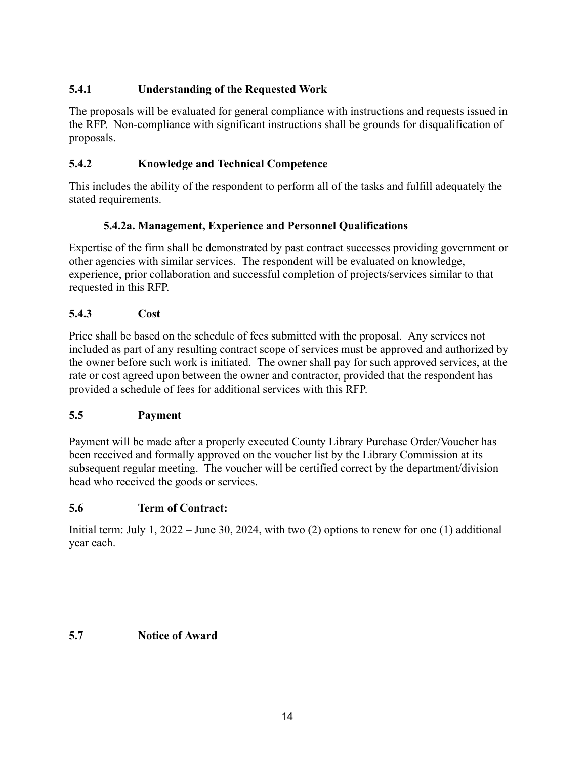## **5.4.1 Understanding of the Requested Work**

The proposals will be evaluated for general compliance with instructions and requests issued in the RFP. Non-compliance with significant instructions shall be grounds for disqualification of proposals.

## **5.4.2 Knowledge and Technical Competence**

This includes the ability of the respondent to perform all of the tasks and fulfill adequately the stated requirements.

## **5.4.2a. Management, Experience and Personnel Qualifications**

Expertise of the firm shall be demonstrated by past contract successes providing government or other agencies with similar services. The respondent will be evaluated on knowledge, experience, prior collaboration and successful completion of projects/services similar to that requested in this RFP.

## **5.4.3 Cost**

Price shall be based on the schedule of fees submitted with the proposal. Any services not included as part of any resulting contract scope of services must be approved and authorized by the owner before such work is initiated. The owner shall pay for such approved services, at the rate or cost agreed upon between the owner and contractor, provided that the respondent has provided a schedule of fees for additional services with this RFP.

## **5.5 Payment**

Payment will be made after a properly executed County Library Purchase Order/Voucher has been received and formally approved on the voucher list by the Library Commission at its subsequent regular meeting. The voucher will be certified correct by the department/division head who received the goods or services.

## **5.6 Term of Contract:**

Initial term: July 1, 2022 – June 30, 2024, with two (2) options to renew for one (1) additional year each.

## **5.7 Notice of Award**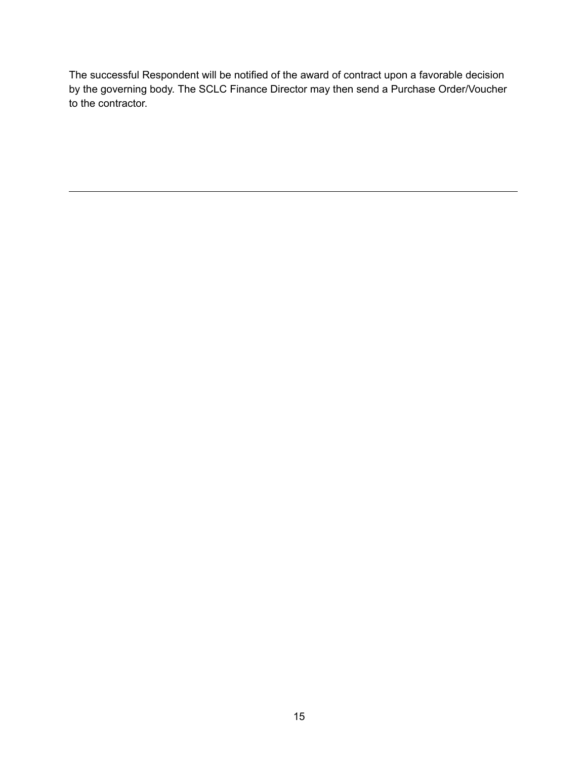The successful Respondent will be notified of the award of contract upon a favorable decision by the governing body. The SCLC Finance Director may then send a Purchase Order/Voucher to the contractor.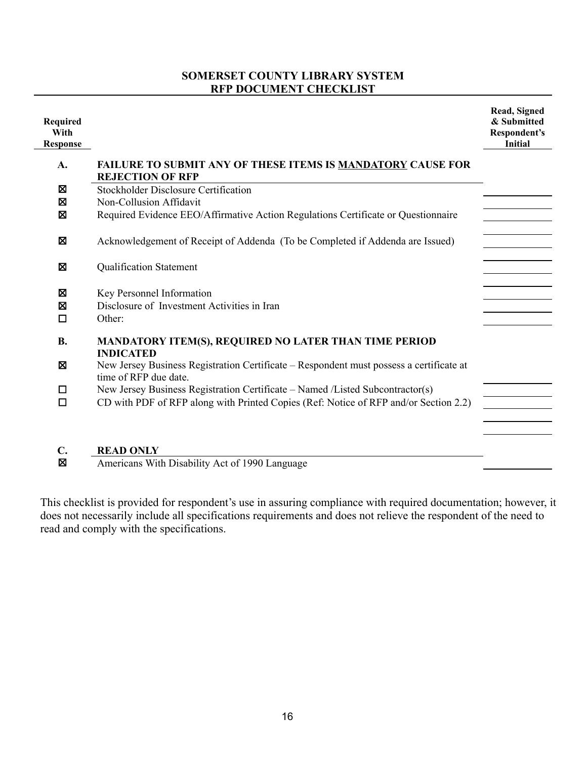## **SOMERSET COUNTY LIBRARY SYSTEM RFP DOCUMENT CHECKLIST**

| Required<br>With<br><b>Response</b> |                                                                                                                                                                       | Read, Signed<br>& Submitted<br>Respondent's<br>Initial |
|-------------------------------------|-----------------------------------------------------------------------------------------------------------------------------------------------------------------------|--------------------------------------------------------|
| A.                                  | FAILURE TO SUBMIT ANY OF THESE ITEMS IS MANDATORY CAUSE FOR<br><b>REJECTION OF RFP</b>                                                                                |                                                        |
| ⊠<br>Σ                              | <b>Stockholder Disclosure Certification</b><br>Non-Collusion Affidavit                                                                                                |                                                        |
| 図                                   | Required Evidence EEO/Affirmative Action Regulations Certificate or Questionnaire                                                                                     |                                                        |
| Σ                                   | Acknowledgement of Receipt of Addenda (To be Completed if Addenda are Issued)                                                                                         |                                                        |
| Ø                                   | <b>Qualification Statement</b>                                                                                                                                        |                                                        |
| Σ<br>$\boxtimes$<br>□               | Key Personnel Information<br>Disclosure of Investment Activities in Iran<br>Other:                                                                                    |                                                        |
| <b>B.</b>                           | MANDATORY ITEM(S), REQUIRED NO LATER THAN TIME PERIOD<br><b>INDICATED</b>                                                                                             |                                                        |
| ⊠                                   | New Jersey Business Registration Certificate – Respondent must possess a certificate at<br>time of RFP due date.                                                      |                                                        |
| □<br>$\Box$                         | New Jersey Business Registration Certificate - Named /Listed Subcontractor(s)<br>CD with PDF of RFP along with Printed Copies (Ref: Notice of RFP and/or Section 2.2) |                                                        |
| $C_{\bullet}$<br>Σ                  | <b>READ ONLY</b><br>Americans With Disability Act of 1990 Language                                                                                                    |                                                        |

This checklist is provided for respondent's use in assuring compliance with required documentation; however, it does not necessarily include all specifications requirements and does not relieve the respondent of the need to read and comply with the specifications.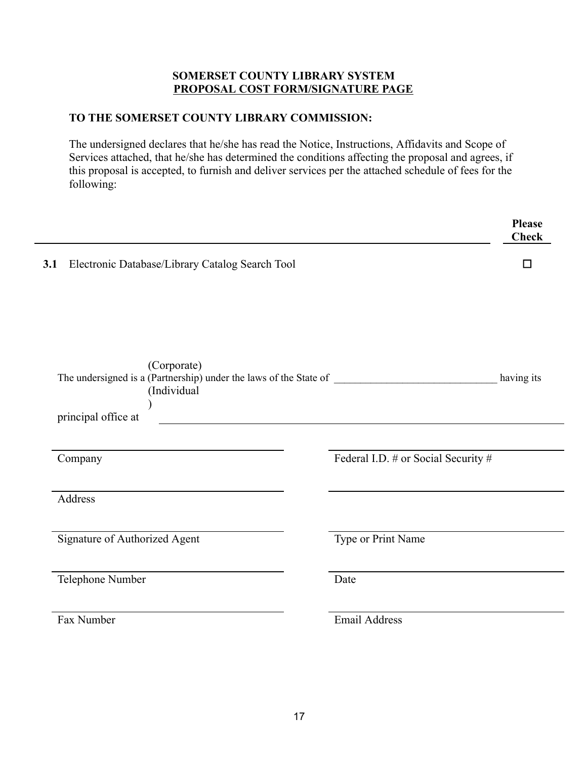#### **SOMERSET COUNTY LIBRARY SYSTEM PROPOSAL COST FORM/SIGNATURE PAGE**

## **TO THE SOMERSET COUNTY LIBRARY COMMISSION:**

The undersigned declares that he/she has read the Notice, Instructions, Affidavits and Scope of Services attached, that he/she has determined the conditions affecting the proposal and agrees, if this proposal is accepted, to furnish and deliver services per the attached schedule of fees for the following:

|                                                                                                                                                              |                                     | <b>Please</b><br><b>Check</b> |
|--------------------------------------------------------------------------------------------------------------------------------------------------------------|-------------------------------------|-------------------------------|
| Electronic Database/Library Catalog Search Tool<br>3.1                                                                                                       |                                     | $\Box$                        |
| (Corporate)                                                                                                                                                  |                                     |                               |
| (Individual<br><u> 1989 - Johann Stoff, deutscher Stoffen und der Stoffen und der Stoffen und der Stoffen und der Stoffen und der</u><br>principal office at |                                     |                               |
| Company                                                                                                                                                      | Federal I.D. # or Social Security # |                               |
| Address                                                                                                                                                      |                                     |                               |
| Signature of Authorized Agent                                                                                                                                | Type or Print Name                  |                               |
| Telephone Number                                                                                                                                             | Date                                |                               |
| Fax Number                                                                                                                                                   | <b>Email Address</b>                |                               |
|                                                                                                                                                              |                                     |                               |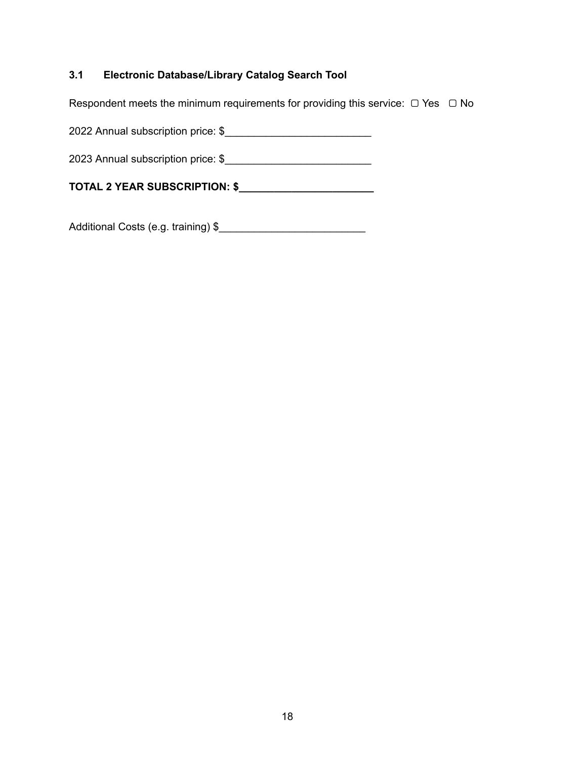## **3.1 Electronic Database/Library Catalog Search Tool**

Respondent meets the minimum requirements for providing this service:  $□$  Yes  $□$  No

2022 Annual subscription price: \$\_\_\_\_\_\_\_\_\_\_\_\_\_\_\_\_\_\_\_\_\_\_\_\_\_

2023 Annual subscription price: \$\_\_\_\_\_\_\_\_\_\_\_\_\_\_\_\_\_\_\_\_\_\_\_\_\_

**TOTAL 2 YEAR SUBSCRIPTION: \$\_\_\_\_\_\_\_\_\_\_\_\_\_\_\_\_\_\_\_\_\_\_\_**

Additional Costs (e.g. training) \$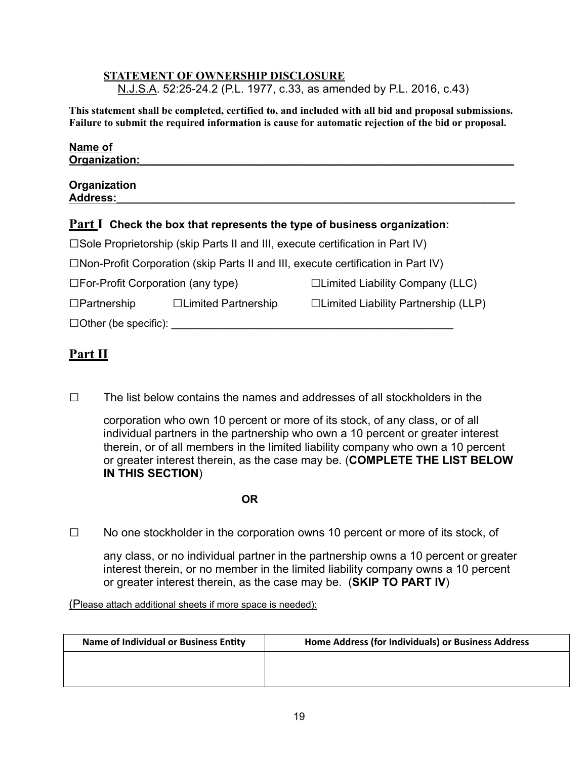#### **STATEMENT OF OWNERSHIP DISCLOSURE**

N.J.S.A. 52:25-24.2 (P.L. 1977, c.33, as amended by P.L. 2016, c.43)

**This statement shall be completed, certified to, and included with all bid and proposal submissions. Failure to submit the required information is cause for automatic rejection of the bid or proposal.**

| Name of<br>Organization:               |  |
|----------------------------------------|--|
| <b>Organization</b><br><b>Address:</b> |  |

## **Part I Check the box that represents the type of business organization:**

| $\square$ Sole Proprietorship (skip Parts II and III, execute certification in Part IV) |  |  |
|-----------------------------------------------------------------------------------------|--|--|

 $\square$ Non-Profit Corporation (skip Parts II and III, execute certification in Part IV)

□For-Profit Corporation (any type) □Limited Liability Company (LLC)

□Partnership □Limited Partnership □Limited Liability Partnership (LLP)

 $\Box$  Other (be specific):  $\Box$ 

# **Part II**

 $\square$  The list below contains the names and addresses of all stockholders in the

corporation who own 10 percent or more of its stock, of any class, or of all individual partners in the partnership who own a 10 percent or greater interest therein, or of all members in the limited liability company who own a 10 percent or greater interest therein, as the case may be. (**COMPLETE THE LIST BELOW IN THIS SECTION**)

**OR**

□ No one stockholder in the corporation owns 10 percent or more of its stock, of

any class, or no individual partner in the partnership owns a 10 percent or greater interest therein, or no member in the limited liability company owns a 10 percent or greater interest therein, as the case may be. (**SKIP TO PART IV**)

(Please attach additional sheets if more space is needed):

| <b>Name of Individual or Business Entity</b> | Home Address (for Individuals) or Business Address |
|----------------------------------------------|----------------------------------------------------|
|                                              |                                                    |
|                                              |                                                    |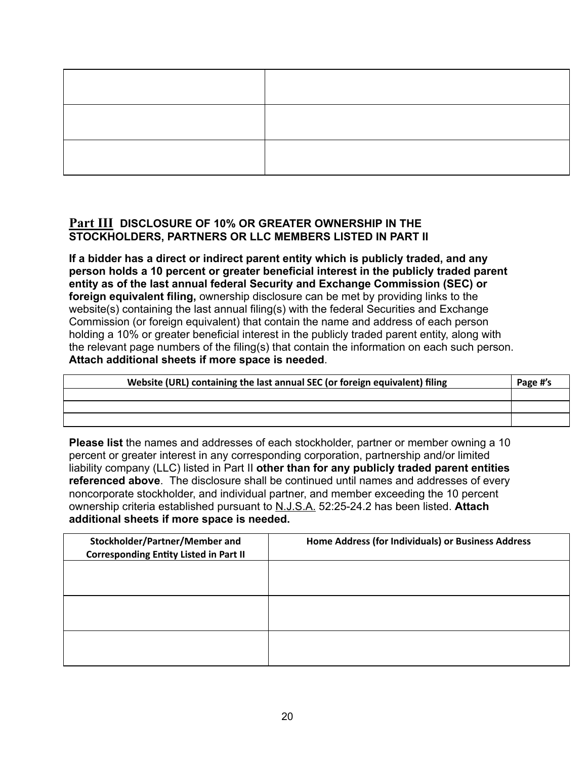## **Part III DISCLOSURE OF 10% OR GREATER OWNERSHIP IN THE STOCKHOLDERS, PARTNERS OR LLC MEMBERS LISTED IN PART II**

**If a bidder has a direct or indirect parent entity which is publicly traded, and any person holds a 10 percent or greater beneficial interest in the publicly traded parent entity as of the last annual federal Security and Exchange Commission (SEC) or foreign equivalent filing,** ownership disclosure can be met by providing links to the website(s) containing the last annual filing(s) with the federal Securities and Exchange Commission (or foreign equivalent) that contain the name and address of each person holding a 10% or greater beneficial interest in the publicly traded parent entity, along with the relevant page numbers of the filing(s) that contain the information on each such person. **Attach additional sheets if more space is needed**.

| Website (URL) containing the last annual SEC (or foreign equivalent) filing | Page #'s |
|-----------------------------------------------------------------------------|----------|
|                                                                             |          |
|                                                                             |          |
|                                                                             |          |

**Please list** the names and addresses of each stockholder, partner or member owning a 10 percent or greater interest in any corresponding corporation, partnership and/or limited liability company (LLC) listed in Part II **other than for any publicly traded parent entities referenced above**. The disclosure shall be continued until names and addresses of every noncorporate stockholder, and individual partner, and member exceeding the 10 percent ownership criteria established pursuant to N.J.S.A. 52:25-24.2 has been listed. **Attach additional sheets if more space is needed.**

| Stockholder/Partner/Member and<br><b>Corresponding Entity Listed in Part II</b> | Home Address (for Individuals) or Business Address |
|---------------------------------------------------------------------------------|----------------------------------------------------|
|                                                                                 |                                                    |
|                                                                                 |                                                    |
|                                                                                 |                                                    |
|                                                                                 |                                                    |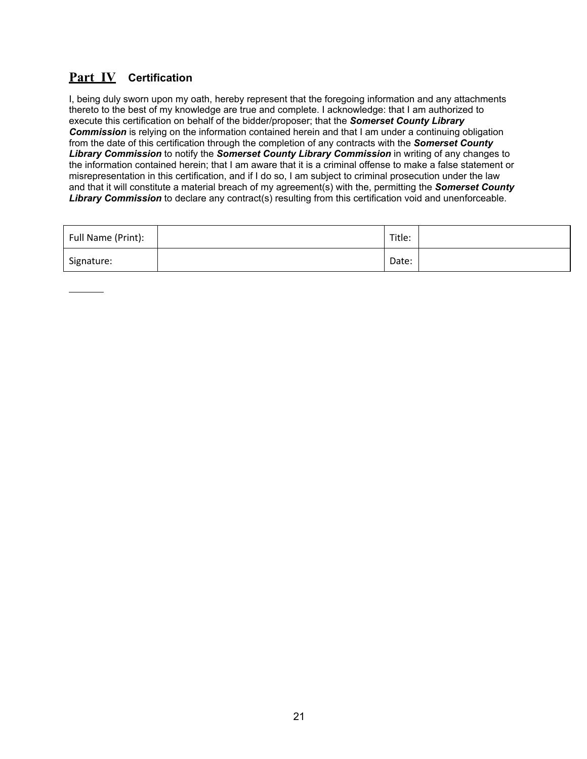# **Part IV Certification**

I, being duly sworn upon my oath, hereby represent that the foregoing information and any attachments thereto to the best of my knowledge are true and complete. I acknowledge: that I am authorized to execute this certification on behalf of the bidder/proposer; that the *Somerset County Library Commission* is relying on the information contained herein and that I am under a continuing obligation from the date of this certification through the completion of any contracts with the *Somerset County Library Commission* to notify the *Somerset County Library Commission* in writing of any changes to the information contained herein; that I am aware that it is a criminal offense to make a false statement or misrepresentation in this certification, and if I do so, I am subject to criminal prosecution under the law and that it will constitute a material breach of my agreement(s) with the, permitting the *Somerset County Library Commission* to declare any contract(s) resulting from this certification void and unenforceable.

| Full Name (Print): | Title: |  |
|--------------------|--------|--|
| Signature:         | Date:  |  |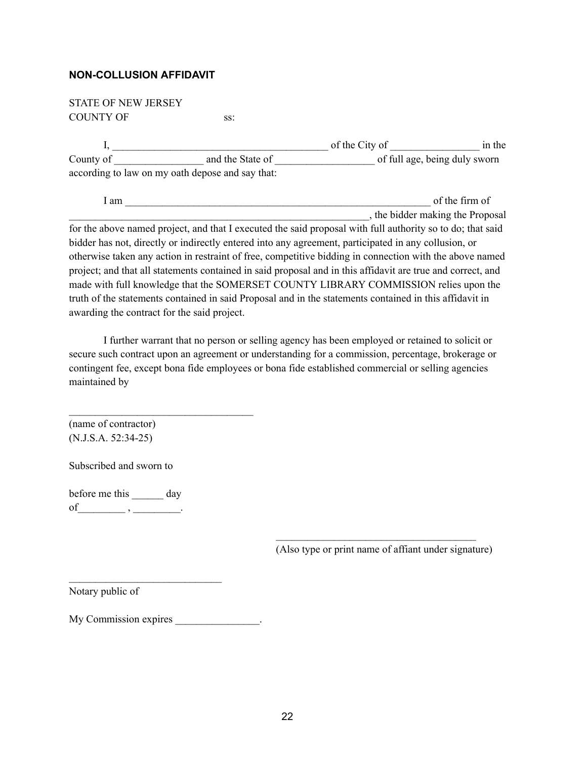#### **NON-COLLUSION AFFIDAVIT**

| <b>STATE OF NEW JERSEY</b> |                                                                                                            |                |                                  |
|----------------------------|------------------------------------------------------------------------------------------------------------|----------------|----------------------------------|
| <b>COUNTY OF</b>           | SS:                                                                                                        |                |                                  |
|                            |                                                                                                            | of the City of | in the                           |
| County of                  | and the State of                                                                                           |                | of full age, being duly sworn    |
|                            | according to law on my oath depose and say that:                                                           |                |                                  |
| 1 am                       |                                                                                                            |                | of the firm of                   |
|                            |                                                                                                            |                | , the bidder making the Proposal |
|                            | fan tha aharra namad noriaat amd that I ceramic daha aaid noonaad cuith full cuthamite as ta darahat aaid. |                |                                  |

for the above named project, and that I executed the said proposal with full authority so to do; that said bidder has not, directly or indirectly entered into any agreement, participated in any collusion, or otherwise taken any action in restraint of free, competitive bidding in connection with the above named project; and that all statements contained in said proposal and in this affidavit are true and correct, and made with full knowledge that the SOMERSET COUNTY LIBRARY COMMISSION relies upon the truth of the statements contained in said Proposal and in the statements contained in this affidavit in awarding the contract for the said project.

I further warrant that no person or selling agency has been employed or retained to solicit or secure such contract upon an agreement or understanding for a commission, percentage, brokerage or contingent fee, except bona fide employees or bona fide established commercial or selling agencies maintained by

(name of contractor) (N.J.S.A. 52:34-25)

Subscribed and sworn to

before me this day of\_\_\_\_\_\_\_\_\_ , \_\_\_\_\_\_\_\_\_.

(Also type or print name of affiant under signature)

 $\mathcal{L}_\text{max}$  and  $\mathcal{L}_\text{max}$  and  $\mathcal{L}_\text{max}$  and  $\mathcal{L}_\text{max}$ 

Notary public of

My Commission expires  $\blacksquare$ 

 $\mathcal{L}_\text{max}$ 

 $\mathcal{L}_\text{max}$  , where  $\mathcal{L}_\text{max}$  and  $\mathcal{L}_\text{max}$  and  $\mathcal{L}_\text{max}$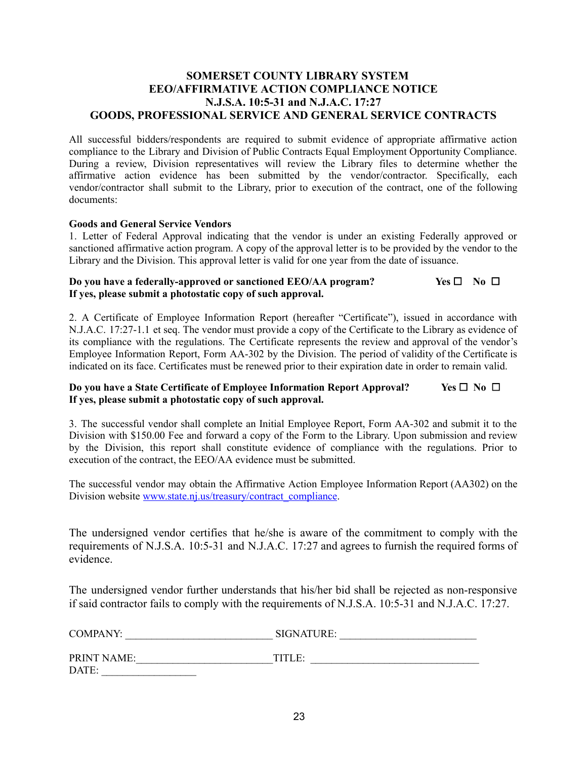#### **SOMERSET COUNTY LIBRARY SYSTEM EEO/AFFIRMATIVE ACTION COMPLIANCE NOTICE N.J.S.A. 10:5-31 and N.J.A.C. 17:27 GOODS, PROFESSIONAL SERVICE AND GENERAL SERVICE CONTRACTS**

All successful bidders/respondents are required to submit evidence of appropriate affirmative action compliance to the Library and Division of Public Contracts Equal Employment Opportunity Compliance. During a review, Division representatives will review the Library files to determine whether the affirmative action evidence has been submitted by the vendor/contractor. Specifically, each vendor/contractor shall submit to the Library, prior to execution of the contract, one of the following documents:

#### **Goods and General Service Vendors**

1. Letter of Federal Approval indicating that the vendor is under an existing Federally approved or sanctioned affirmative action program. A copy of the approval letter is to be provided by the vendor to the Library and the Division. This approval letter is valid for one year from the date of issuance.

#### **Do you have a federally-approved or sanctioned EEO/AA program? Yes** ☐ **No** ☐ **If yes, please submit a photostatic copy of such approval.**

2. A Certificate of Employee Information Report (hereafter "Certificate"), issued in accordance with N.J.A.C. 17:27-1.1 et seq. The vendor must provide a copy of the Certificate to the Library as evidence of its compliance with the regulations. The Certificate represents the review and approval of the vendor's Employee Information Report, Form AA-302 by the Division. The period of validity of the Certificate is indicated on its face. Certificates must be renewed prior to their expiration date in order to remain valid.

#### **Do you have a State Certificate of Employee Information Report Approval? Yes** ☐ **No** ☐ **If yes, please submit a photostatic copy of such approval.**

3. The successful vendor shall complete an Initial Employee Report, Form AA-302 and submit it to the Division with \$150.00 Fee and forward a copy of the Form to the Library. Upon submission and review by the Division, this report shall constitute evidence of compliance with the regulations. Prior to execution of the contract, the EEO/AA evidence must be submitted.

The successful vendor may obtain the Affirmative Action Employee Information Report (AA302) on the Division website [www.state.nj.us/treasury/contract\\_compliance.](http://www.state.nj.us/treasury/contract_compliance)

The undersigned vendor certifies that he/she is aware of the commitment to comply with the requirements of N.J.S.A. 10:5-31 and N.J.A.C. 17:27 and agrees to furnish the required forms of evidence.

The undersigned vendor further understands that his/her bid shall be rejected as non-responsive if said contractor fails to comply with the requirements of N.J.S.A. 10:5-31 and N.J.A.C. 17:27.

| COMPANY:           | SIGNATURE: |  |
|--------------------|------------|--|
| <b>PRINT NAME:</b> | TITLE:     |  |
| DATE:              |            |  |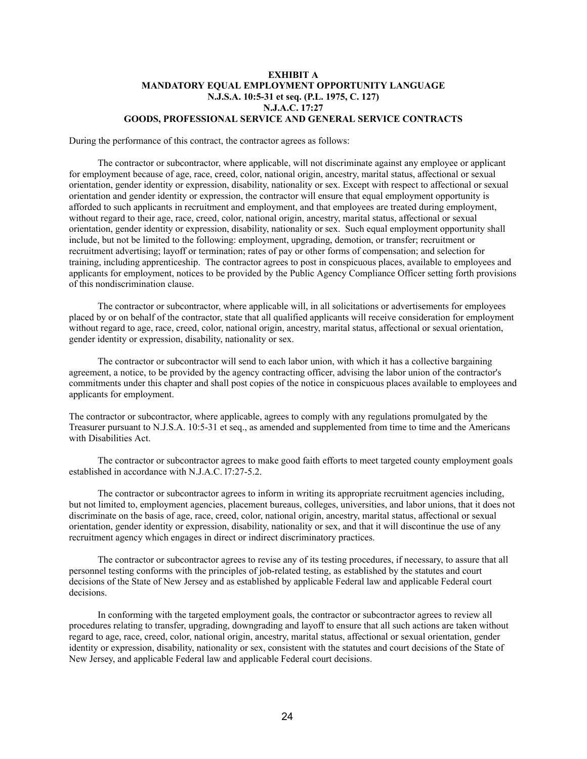#### **EXHIBIT A MANDATORY EQUAL EMPLOYMENT OPPORTUNITY LANGUAGE N.J.S.A. 10:5-31 et seq. (P.L. 1975, C. 127) N.J.A.C. 17:27 GOODS, PROFESSIONAL SERVICE AND GENERAL SERVICE CONTRACTS**

During the performance of this contract, the contractor agrees as follows:

The contractor or subcontractor, where applicable, will not discriminate against any employee or applicant for employment because of age, race, creed, color, national origin, ancestry, marital status, affectional or sexual orientation, gender identity or expression, disability, nationality or sex. Except with respect to affectional or sexual orientation and gender identity or expression, the contractor will ensure that equal employment opportunity is afforded to such applicants in recruitment and employment, and that employees are treated during employment, without regard to their age, race, creed, color, national origin, ancestry, marital status, affectional or sexual orientation, gender identity or expression, disability, nationality or sex. Such equal employment opportunity shall include, but not be limited to the following: employment, upgrading, demotion, or transfer; recruitment or recruitment advertising; layoff or termination; rates of pay or other forms of compensation; and selection for training, including apprenticeship. The contractor agrees to post in conspicuous places, available to employees and applicants for employment, notices to be provided by the Public Agency Compliance Officer setting forth provisions of this nondiscrimination clause.

The contractor or subcontractor, where applicable will, in all solicitations or advertisements for employees placed by or on behalf of the contractor, state that all qualified applicants will receive consideration for employment without regard to age, race, creed, color, national origin, ancestry, marital status, affectional or sexual orientation, gender identity or expression, disability, nationality or sex.

The contractor or subcontractor will send to each labor union, with which it has a collective bargaining agreement, a notice, to be provided by the agency contracting officer, advising the labor union of the contractor's commitments under this chapter and shall post copies of the notice in conspicuous places available to employees and applicants for employment.

The contractor or subcontractor, where applicable, agrees to comply with any regulations promulgated by the Treasurer pursuant to N.J.S.A. 10:5-31 et seq., as amended and supplemented from time to time and the Americans with Disabilities Act.

The contractor or subcontractor agrees to make good faith efforts to meet targeted county employment goals established in accordance with N.J.A.C. l7:27-5.2.

The contractor or subcontractor agrees to inform in writing its appropriate recruitment agencies including, but not limited to, employment agencies, placement bureaus, colleges, universities, and labor unions, that it does not discriminate on the basis of age, race, creed, color, national origin, ancestry, marital status, affectional or sexual orientation, gender identity or expression, disability, nationality or sex, and that it will discontinue the use of any recruitment agency which engages in direct or indirect discriminatory practices.

The contractor or subcontractor agrees to revise any of its testing procedures, if necessary, to assure that all personnel testing conforms with the principles of job-related testing, as established by the statutes and court decisions of the State of New Jersey and as established by applicable Federal law and applicable Federal court decisions.

In conforming with the targeted employment goals, the contractor or subcontractor agrees to review all procedures relating to transfer, upgrading, downgrading and layoff to ensure that all such actions are taken without regard to age, race, creed, color, national origin, ancestry, marital status, affectional or sexual orientation, gender identity or expression, disability, nationality or sex, consistent with the statutes and court decisions of the State of New Jersey, and applicable Federal law and applicable Federal court decisions.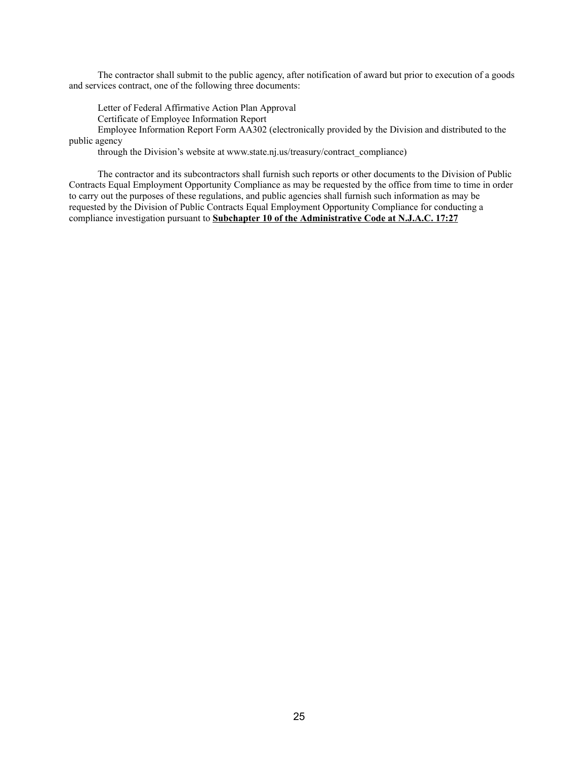The contractor shall submit to the public agency, after notification of award but prior to execution of a goods and services contract, one of the following three documents:

Letter of Federal Affirmative Action Plan Approval

Certificate of Employee Information Report

Employee Information Report Form AA302 (electronically provided by the Division and distributed to the public agency

through the Division's website at www.state.nj.us/treasury/contract\_compliance)

The contractor and its subcontractors shall furnish such reports or other documents to the Division of Public Contracts Equal Employment Opportunity Compliance as may be requested by the office from time to time in order to carry out the purposes of these regulations, and public agencies shall furnish such information as may be requested by the Division of Public Contracts Equal Employment Opportunity Compliance for conducting a compliance investigation pursuant to **Subchapter 10 of the Administrative Code at N.J.A.C. 17:27**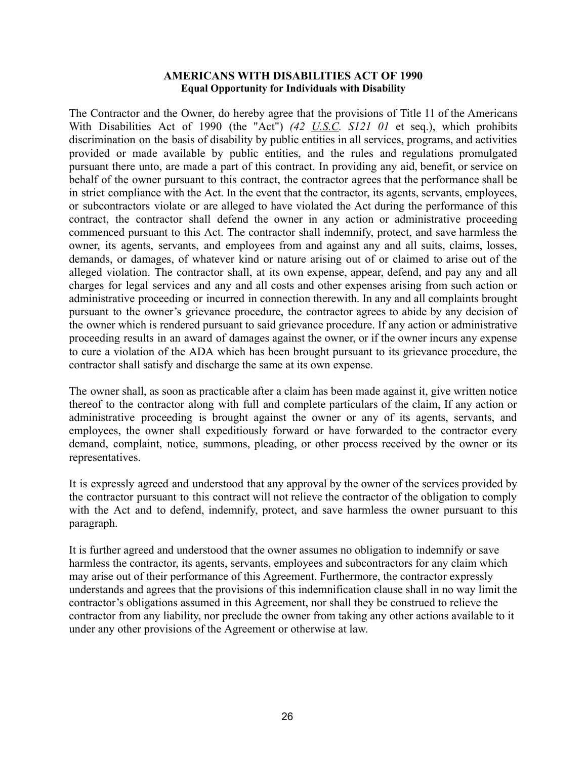#### **AMERICANS WITH DISABILITIES ACT OF 1990 Equal Opportunity for Individuals with Disability**

The Contractor and the Owner, do hereby agree that the provisions of Title 11 of the Americans With Disabilities Act of 1990 (the "Act") *(42 U.S.C. S121 01* et seq.), which prohibits discrimination on the basis of disability by public entities in all services, programs, and activities provided or made available by public entities, and the rules and regulations promulgated pursuant there unto, are made a part of this contract. In providing any aid, benefit, or service on behalf of the owner pursuant to this contract, the contractor agrees that the performance shall be in strict compliance with the Act. In the event that the contractor, its agents, servants, employees, or subcontractors violate or are alleged to have violated the Act during the performance of this contract, the contractor shall defend the owner in any action or administrative proceeding commenced pursuant to this Act. The contractor shall indemnify, protect, and save harmless the owner, its agents, servants, and employees from and against any and all suits, claims, losses, demands, or damages, of whatever kind or nature arising out of or claimed to arise out of the alleged violation. The contractor shall, at its own expense, appear, defend, and pay any and all charges for legal services and any and all costs and other expenses arising from such action or administrative proceeding or incurred in connection therewith. In any and all complaints brought pursuant to the owner's grievance procedure, the contractor agrees to abide by any decision of the owner which is rendered pursuant to said grievance procedure. If any action or administrative proceeding results in an award of damages against the owner, or if the owner incurs any expense to cure a violation of the ADA which has been brought pursuant to its grievance procedure, the contractor shall satisfy and discharge the same at its own expense.

The owner shall, as soon as practicable after a claim has been made against it, give written notice thereof to the contractor along with full and complete particulars of the claim, If any action or administrative proceeding is brought against the owner or any of its agents, servants, and employees, the owner shall expeditiously forward or have forwarded to the contractor every demand, complaint, notice, summons, pleading, or other process received by the owner or its representatives.

It is expressly agreed and understood that any approval by the owner of the services provided by the contractor pursuant to this contract will not relieve the contractor of the obligation to comply with the Act and to defend, indemnify, protect, and save harmless the owner pursuant to this paragraph.

It is further agreed and understood that the owner assumes no obligation to indemnify or save harmless the contractor, its agents, servants, employees and subcontractors for any claim which may arise out of their performance of this Agreement. Furthermore, the contractor expressly understands and agrees that the provisions of this indemnification clause shall in no way limit the contractor's obligations assumed in this Agreement, nor shall they be construed to relieve the contractor from any liability, nor preclude the owner from taking any other actions available to it under any other provisions of the Agreement or otherwise at law.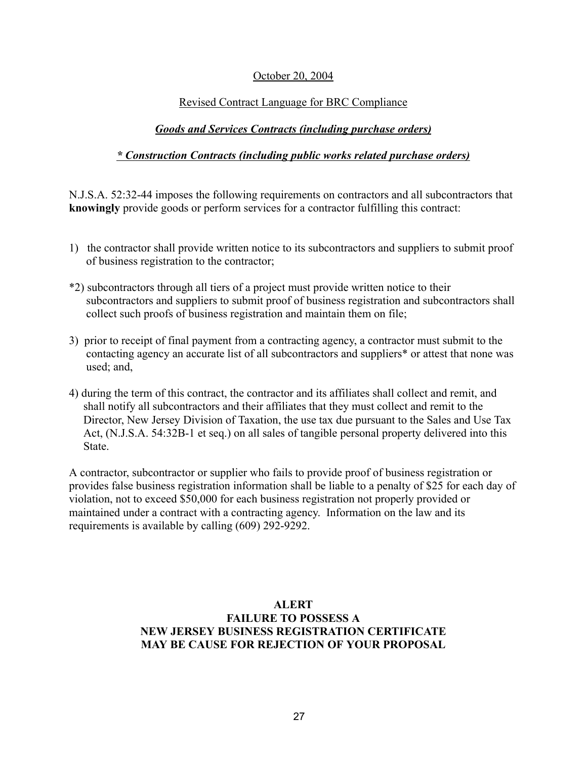#### October 20, 2004

#### Revised Contract Language for BRC Compliance

#### *Goods and Services Contracts (including purchase orders)*

#### *\* Construction Contracts (including public works related purchase orders)*

N.J.S.A. 52:32-44 imposes the following requirements on contractors and all subcontractors that **knowingly** provide goods or perform services for a contractor fulfilling this contract:

- 1) the contractor shall provide written notice to its subcontractors and suppliers to submit proof of business registration to the contractor;
- \*2) subcontractors through all tiers of a project must provide written notice to their subcontractors and suppliers to submit proof of business registration and subcontractors shall collect such proofs of business registration and maintain them on file;
- 3) prior to receipt of final payment from a contracting agency, a contractor must submit to the contacting agency an accurate list of all subcontractors and suppliers\* or attest that none was used; and,
- 4) during the term of this contract, the contractor and its affiliates shall collect and remit, and shall notify all subcontractors and their affiliates that they must collect and remit to the Director, New Jersey Division of Taxation, the use tax due pursuant to the Sales and Use Tax Act, (N.J.S.A. 54:32B-1 et seq.) on all sales of tangible personal property delivered into this State.

A contractor, subcontractor or supplier who fails to provide proof of business registration or provides false business registration information shall be liable to a penalty of \$25 for each day of violation, not to exceed \$50,000 for each business registration not properly provided or maintained under a contract with a contracting agency. Information on the law and its requirements is available by calling (609) 292-9292.

#### **ALERT FAILURE TO POSSESS A NEW JERSEY BUSINESS REGISTRATION CERTIFICATE MAY BE CAUSE FOR REJECTION OF YOUR PROPOSAL**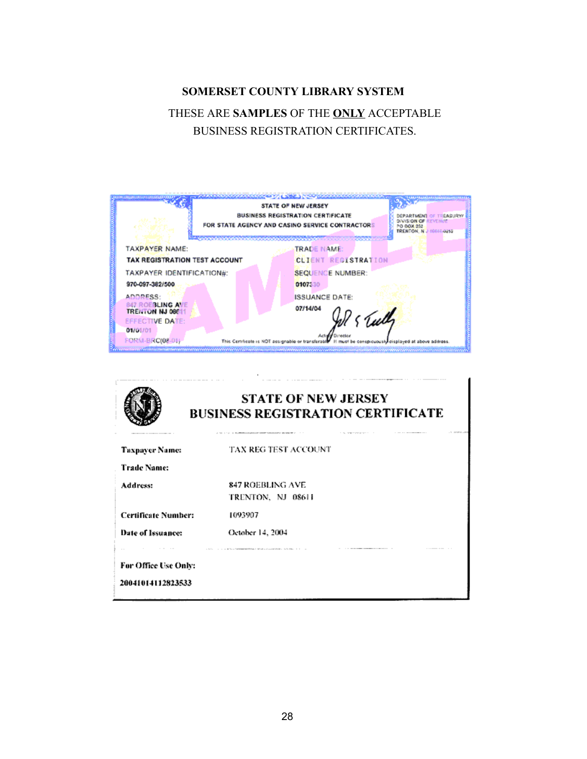# **SOMERSET COUNTY LIBRARY SYSTEM** THESE ARE **SAMPLES** OF THE **ONLY** ACCEPTABLE BUSINESS REGISTRATION CERTIFICATES.

| <b>BAARAANARKARKARKARKO KA LEBALA MORFERINTARKARKARKARKARK</b> |                                          |                                                                   |                                                                                                                       |
|----------------------------------------------------------------|------------------------------------------|-------------------------------------------------------------------|-----------------------------------------------------------------------------------------------------------------------|
|                                                                | STATE OF NEW JERSEY                      |                                                                   |                                                                                                                       |
|                                                                | <b>BUSINESS REGISTRATION CERTIFICATE</b> |                                                                   | DEPARTMENT OF TREASURY/<br>DIVISION OF REVENUE                                                                        |
|                                                                |                                          | PO BOX 252<br>TRENTON N J COGLE 0252                              |                                                                                                                       |
|                                                                |                                          |                                                                   |                                                                                                                       |
| TAXPAYER NAME:                                                 |                                          | <b>TRADE NAMÉ:</b>                                                |                                                                                                                       |
|                                                                |                                          | <b>CLIENT REGISTRATION</b>                                        |                                                                                                                       |
|                                                                |                                          | <b>SEQUENCE NUMBER:</b>                                           |                                                                                                                       |
| 970-097-382/500                                                |                                          | 0107330                                                           |                                                                                                                       |
| ADDRESS:                                                       |                                          | <b>ISSUANCE DATE:</b>                                             |                                                                                                                       |
| 847 ROEBLING AVE                                               |                                          | 07/14/04                                                          |                                                                                                                       |
| <b>EFFECTIVE DATE:</b>                                         |                                          |                                                                   |                                                                                                                       |
| 01/01/01                                                       |                                          |                                                                   |                                                                                                                       |
| FORM-BRC(08-01)                                                |                                          |                                                                   | cuously disalayed at above address.                                                                                   |
|                                                                | <b>TRENTON NJ 066</b>                    | <b>TAX REGISTRATION TEST ACCOUNT</b><br>TAXPAYER IDENTIFICATION#: | FOR STATE AGENCY AND CASINO SERVICE CONTRACTORS<br>Ps Tully<br>Actu<br>This Certificate is NOT assignable or transfer |

| <b>STATE OF NEW JERSEY</b><br><b>BUSINESS REGISTRATION CERTIFICATE</b><br>AT INVESTIGATE<br>1 10 100 000 0 000 0 1 0 1 1 1 1<br>A 1990 F. L. G. D. B. Monter, L. G. Bander, M. G. Bander, M. G. Bander, M. G. Bander, M. G. Bander, M. G. Bander, M. |                                                                                                                                                                |  |
|------------------------------------------------------------------------------------------------------------------------------------------------------------------------------------------------------------------------------------------------------|----------------------------------------------------------------------------------------------------------------------------------------------------------------|--|
| <b>Taxpayer Name:</b>                                                                                                                                                                                                                                | TAX REG TEST ACCOUNT                                                                                                                                           |  |
| <b>Trade Name:</b>                                                                                                                                                                                                                                   |                                                                                                                                                                |  |
| Address:                                                                                                                                                                                                                                             | 847 ROEBLING AVE<br>TRENTON, NJ 08611                                                                                                                          |  |
| <b>Certificate Number:</b>                                                                                                                                                                                                                           | 1093907                                                                                                                                                        |  |
| Date of Issuance:                                                                                                                                                                                                                                    | October 14, 2004                                                                                                                                               |  |
| For Office Use Only:<br>20041014112823533                                                                                                                                                                                                            | --------<br>The first term of the construction of the construction of the construction of the construction of the construction of the construction of the con- |  |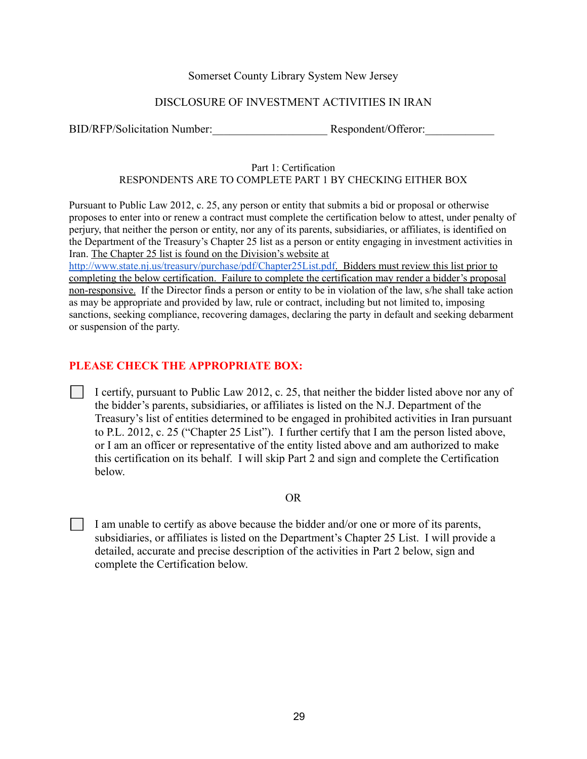#### Somerset County Library System New Jersey

#### DISCLOSURE OF INVESTMENT ACTIVITIES IN IRAN

BID/RFP/Solicitation Number:\_\_\_\_\_\_\_\_\_\_\_\_\_\_\_\_\_\_\_\_ Respondent/Offeror:\_\_\_\_\_\_\_\_\_\_\_\_

#### Part 1: Certification RESPONDENTS ARE TO COMPLETE PART 1 BY CHECKING EITHER BOX

Pursuant to Public Law 2012, c. 25, any person or entity that submits a bid or proposal or otherwise proposes to enter into or renew a contract must complete the certification below to attest, under penalty of perjury, that neither the person or entity, nor any of its parents, subsidiaries, or affiliates, is identified on the Department of the Treasury's Chapter 25 list as a person or entity engaging in investment activities in Iran. The Chapter 25 list is found on the Division's website at

[http://www.state.nj.us/treasury/purchase/pdf/Chapter25List.pdf.](http://www.state.nj.us/treasury/purchase/pdf/Chapter25List.pdf) Bidders must review this list prior to completing the below certification. Failure to complete the certification may render a bidder's proposal non-responsive. If the Director finds a person or entity to be in violation of the law, s/he shall take action as may be appropriate and provided by law, rule or contract, including but not limited to, imposing sanctions, seeking compliance, recovering damages, declaring the party in default and seeking debarment or suspension of the party.

#### **PLEASE CHECK THE APPROPRIATE BOX:**

⬜ I certify, pursuant to Public Law 2012, c. 25, that neither the bidder listed above nor any of the bidder's parents, subsidiaries, or affiliates is listed on the N.J. Department of the Treasury's list of entities determined to be engaged in prohibited activities in Iran pursuant to P.L. 2012, c. 25 ("Chapter 25 List"). I further certify that I am the person listed above, or I am an officer or representative of the entity listed above and am authorized to make this certification on its behalf. I will skip Part 2 and sign and complete the Certification below.

#### OR

 $\vert \vert$  I am unable to certify as above because the bidder and/or one or more of its parents, subsidiaries, or affiliates is listed on the Department's Chapter 25 List. I will provide a detailed, accurate and precise description of the activities in Part 2 below, sign and complete the Certification below.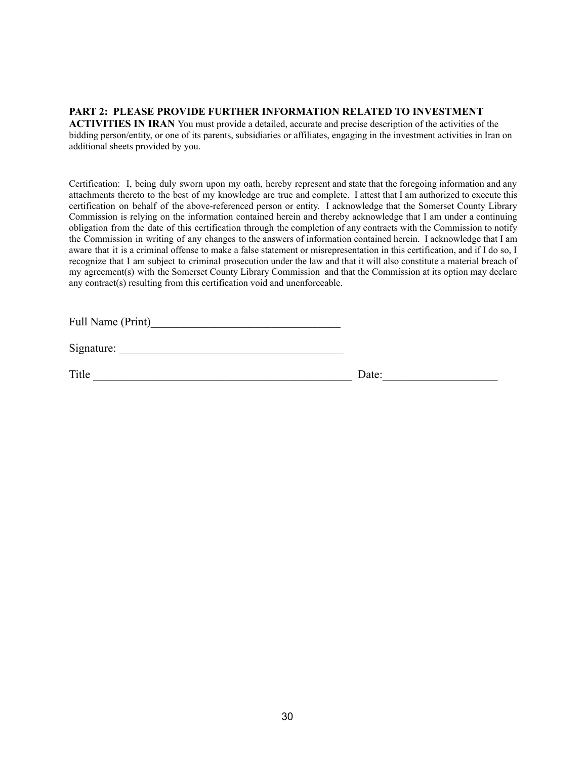#### **PART 2: PLEASE PROVIDE FURTHER INFORMATION RELATED TO INVESTMENT**

**ACTIVITIES IN IRAN** You must provide a detailed, accurate and precise description of the activities of the bidding person/entity, or one of its parents, subsidiaries or affiliates, engaging in the investment activities in Iran on additional sheets provided by you.

Certification: I, being duly sworn upon my oath, hereby represent and state that the foregoing information and any attachments thereto to the best of my knowledge are true and complete. I attest that I am authorized to execute this certification on behalf of the above-referenced person or entity. I acknowledge that the Somerset County Library Commission is relying on the information contained herein and thereby acknowledge that I am under a continuing obligation from the date of this certification through the completion of any contracts with the Commission to notify the Commission in writing of any changes to the answers of information contained herein. I acknowledge that I am aware that it is a criminal offense to make a false statement or misrepresentation in this certification, and if I do so, I recognize that I am subject to criminal prosecution under the law and that it will also constitute a material breach of my agreement(s) with the Somerset County Library Commission and that the Commission at its option may declare any contract(s) resulting from this certification void and unenforceable.

Full Name (Print)\_\_\_\_\_\_\_\_\_\_\_\_\_\_\_\_\_\_\_\_\_\_\_\_\_\_\_\_\_\_\_\_\_

Signature:

Title Date: